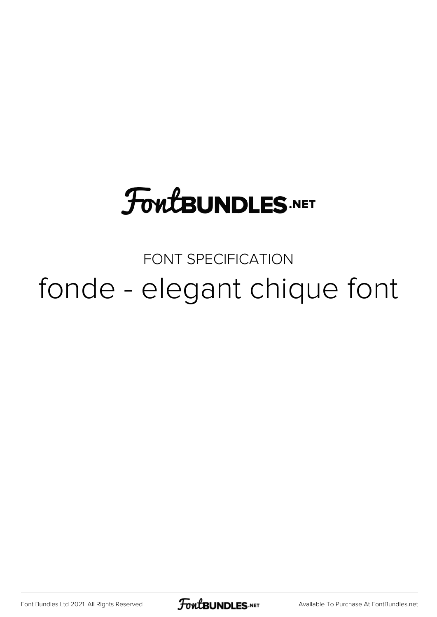# **FoutBUNDLES.NET**

### FONT SPECIFICATION fonde - elegant chique font

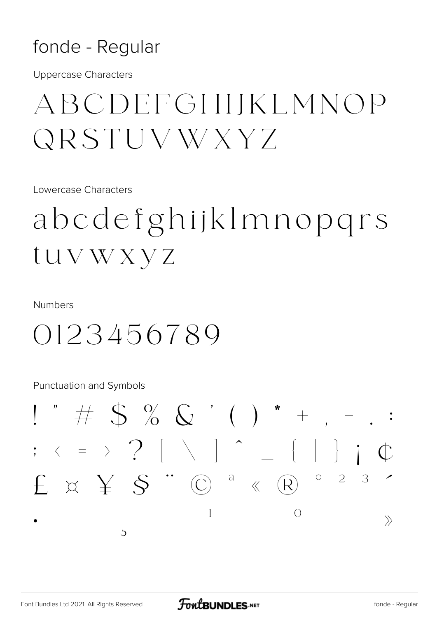#### fonde - Regular

**Uppercase Characters** 

### ABCDEFGHIKLMNOP *QRSTUVWXYZ*

Lowercase Characters

## abcdefghijklmnopgrs tuvwxyz

**Numbers** 

0123456789

**Punctuation and Symbols** 

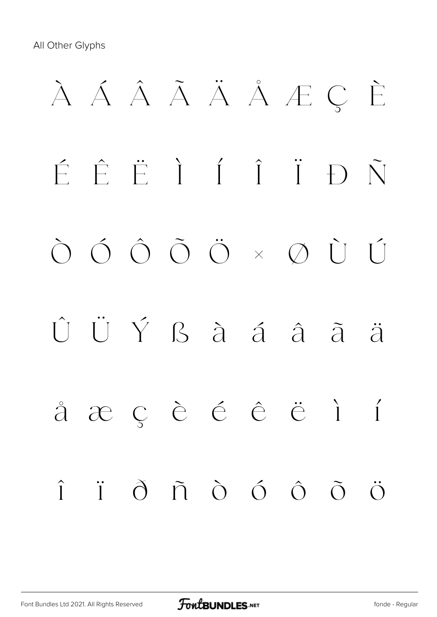